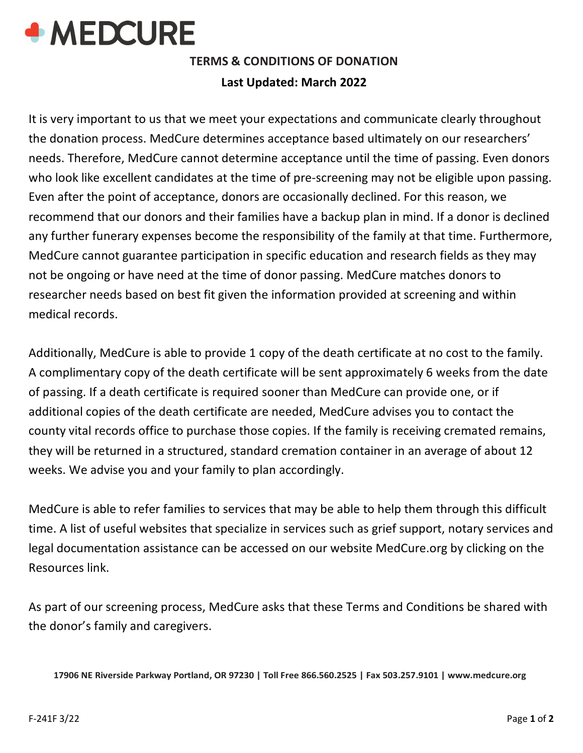

# **TERMS & CONDITIONS OF DONATION Last Updated: March 2022**

It is very important to us that we meet your expectations and communicate clearly throughout the donation process. MedCure determines acceptance based ultimately on our researchers' needs. Therefore, MedCure cannot determine acceptance until the time of passing. Even donors who look like excellent candidates at the time of pre-screening may not be eligible upon passing. Even after the point of acceptance, donors are occasionally declined. For this reason, we recommend that our donors and their families have a backup plan in mind. If a donor is declined any further funerary expenses become the responsibility of the family at that time. Furthermore, MedCure cannot guarantee participation in specific education and research fields as they may not be ongoing or have need at the time of donor passing. MedCure matches donors to researcher needs based on best fit given the information provided at screening and within medical records.

Additionally, MedCure is able to provide 1 copy of the death certificate at no cost to the family. A complimentary copy of the death certificate will be sent approximately 6 weeks from the date of passing. If a death certificate is required sooner than MedCure can provide one, or if additional copies of the death certificate are needed, MedCure advises you to contact the county vital records office to purchase those copies. If the family is receiving cremated remains, they will be returned in a structured, standard cremation container in an average of about 12 weeks. We advise you and your family to plan accordingly.

MedCure is able to refer families to services that may be able to help them through this difficult time. A list of useful websites that specialize in services such as grief support, notary services and legal documentation assistance can be accessed on our website MedCure.org by clicking on the Resources link.

As part of our screening process, MedCure asks that these Terms and Conditions be shared with the donor's family and caregivers.

**17906 NE Riverside Parkway Portland, OR 97230 | Toll Free 866.560.2525 | Fax 503.257.9101 | [www.medcure.org](http://www.medcure.org/)**